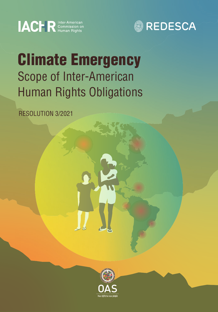



# Climate Emergency Scope of Inter-American Human Rights Obligations

RESOLUTION 3/2021

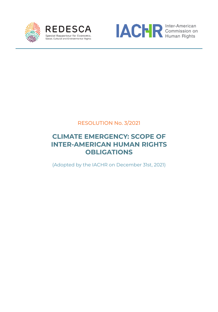





RESOLUTION No. 3/2021

#### **CLIMATE EMERGENCY: SCOPE OF INTER-AMERICAN HUMAN RIGHTS OBLIGATIONS**

(Adopted by the IACHR on December 31st, 2021)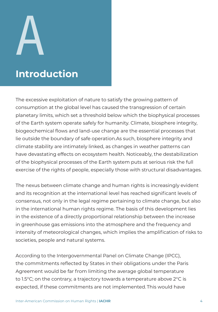# A

CLIMATE EMERGENCY: SCOPE OF INTER-AMERICAN HUMAN RIGHTS OBLIGATIONS

# **Introduction**

The excessive exploitation of nature to satisfy the growing pattern of consumption at the global level has caused the transgression of certain planetary limits, which set a threshold below which the biophysical processes of the Earth system operate safely for humanity. Climate, biosphere integrity, biogeochemical flows and land-use change are the essential processes that lie outside the boundary of safe operation.As such, biosphere integrity and climate stability are intimately linked, as changes in weather patterns can have devastating effects on ecosystem health. Noticeably, the destabilization of the biophysical processes of the Earth system puts at serious risk the full exercise of the rights of people, especially those with structural disadvantages.

The nexus between climate change and human rights is increasingly evident and its recognition at the international level has reached significant levels of consensus, not only in the legal regime pertaining to climate change, but also in the international human rights regime. The basis of this development lies in the existence of a directly proportional relationship between the increase in greenhouse gas emissions into the atmosphere and the frequency and intensity of meteorological changes, which implies the amplification of risks to societies, people and natural systems.

According to the Intergovernmental Panel on Climate Change (IPCC), the commitments reflected by States in their obligations under the Paris Agreement would be far from limiting the average global temperature to 1.5°C; on the contrary, a trajectory towards a temperature above 2°C is expected, if these commitments are not implemented. This would have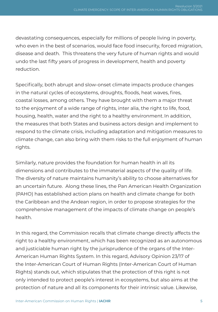devastating consequences, especially for millions of people living in poverty, who even in the best of scenarios, would face food insecurity, forced migration, disease and death. This threatens the very future of human rights and would undo the last fifty years of progress in development, health and poverty reduction.

Specifically, both abrupt and slow-onset climate impacts produce changes in the natural cycles of ecosystems, droughts, floods, heat waves, fires, coastal losses, among others. They have brought with them a major threat to the enjoyment of a wide range of rights, inter alia, the right to life, food, housing, health, water and the right to a healthy environment. In addition, the measures that both States and business actors design and implement to respond to the climate crisis, including adaptation and mitigation measures to climate change, can also bring with them risks to the full enjoyment of human rights.

Similarly, nature provides the foundation for human health in all its dimensions and contributes to the immaterial aspects of the quality of life. The diversity of nature maintains humanity's ability to choose alternatives for an uncertain future. Along these lines, the Pan American Health Organization (PAHO) has established action plans on health and climate change for both the Caribbean and the Andean region, in order to propose strategies for the comprehensive management of the impacts of climate change on people's health.

In this regard, the Commission recalls that climate change directly affects the right to a healthy environment, which has been recognized as an autonomous and justiciable human right by the jurisprudence of the organs of the Inter-American Human Rights System. In this regard, Advisory Opinion 23/17 of the Inter-American Court of Human Rights (Inter-American Court of Human Rights) stands out, which stipulates that the protection of this right is not only intended to protect people's interest in ecosystems, but also aims at the protection of nature and all its components for their intrinsic value. Likewise,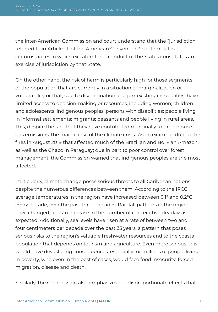the Inter-American Commission and court understand that the "jurisdiction" referred to in Article 1.1. of the American Convention<sup>14</sup> contemplates circumstances in which extraterritorial conduct of the States constitutes an exercise of jurisdiction by that State.

On the other hand, the risk of harm is particularly high for those segments of the population that are currently in a situation of marginalization or vulnerability or that, due to discrimination and pre-existing inequalities, have limited access to decision-making or resources, including women; children and adolescents; indigenous peoples; persons with disabilities; people living in informal settlements; migrants; peasants and people living in rural areas. This, despite the fact that they have contributed marginally to greenhouse gas emissions, the main cause of the climate crisis. As an example, during the fires in August 2019 that affected much of the Brazilian and Bolivian Amazon, as well as the Chaco in Paraguay; due in part to poor control over forest management, the Commission warned that indigenous peoples are the most affected.

Particularly, climate change poses serious threats to all Caribbean nations, despite the numerous differences between them. According to the IPCC, average temperatures in the region have increased between 0.1° and 0.2°C every decade, over the past three decades. Rainfall patterns in the region have changed, and an increase in the number of consecutive dry days is expected. Additionally, sea levels have risen at a rate of between two and four centimeters per decade over the past 33 years, a pattern that poses serious risks to the region's valuable freshwater resources and to the coastal population that depends on tourism and agriculture. Even more serious, this would have devastating consequences, especially for millions of people living in poverty, who even in the best of cases, would face food insecurity, forced migration, disease and death.

Similarly, the Commission also emphasizes the disproportionate effects that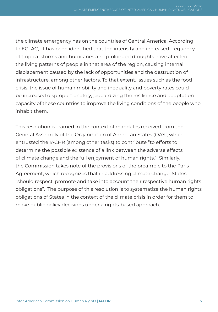the climate emergency has on the countries of Central America. According to ECLAC, it has been identified that the intensity and increased frequency of tropical storms and hurricanes and prolonged droughts have affected the living patterns of people in that area of the region, causing internal displacement caused by the lack of opportunities and the destruction of infrastructure, among other factors. To that extent, issues such as the food crisis, the issue of human mobility and inequality and poverty rates could be increased disproportionately, jeopardizing the resilience and adaptation capacity of these countries to improve the living conditions of the people who inhabit them.

This resolution is framed in the context of mandates received from the General Assembly of the Organization of American States (OAS), which entrusted the IACHR (among other tasks) to contribute "to efforts to determine the possible existence of a link between the adverse effects of climate change and the full enjoyment of human rights." Similarly, the Commission takes note of the provisions of the preamble to the Paris Agreement, which recognizes that in addressing climate change, States "should respect, promote and take into account their respective human rights obligations". The purpose of this resolution is to systematize the human rights obligations of States in the context of the climate crisis in order for them to make public policy decisions under a rights-based approach.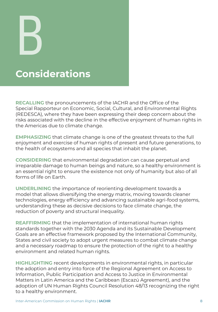**Considerations** B

CLIMATE EMERGENCY: SCOPE OF INTER-AMERICAN HUMAN RIGHTS OBLIGATIONS

**RECALLING** the pronouncements of the IACHR and the Office of the Special Rapporteur on Economic, Social, Cultural, and Environmental Rights (REDESCA), where they have been expressing their deep concern about the risks associated with the decline in the effective enjoyment of human rights in the Americas due to climate change.

**EMPHASIZING** that climate change is one of the greatest threats to the full enjoyment and exercise of human rights of present and future generations, to the health of ecosystems and all species that inhabit the planet.

**CONSIDERING** that environmental degradation can cause perpetual and irreparable damage to human beings and nature, so a healthy environment is an essential right to ensure the existence not only of humanity but also of all forms of life on Earth.

**UNDERLINING** the importance of reorienting development towards a model that allows diversifying the energy matrix, moving towards cleaner technologies, energy efficiency and advancing sustainable agri-food systems, understanding these as decisive decisions to face climate change, the reduction of poverty and structural inequality.

**REAFFIRMING** that the implementation of international human rights standards together with the 2030 Agenda and its Sustainable Development Goals are an effective framework proposed by the International Community, States and civil society to adopt urgent measures to combat climate change and a necessary roadmap to ensure the protection of the right to a healthy environment and related human rights.

**HIGHLIGHTING** recent developments in environmental rights, in particular the adoption and entry into force of the Regional Agreement on Access to Information, Public Participation and Access to Justice in Environmental Matters in Latin America and the Caribbean (Escazú Agreement), and the adoption of UN Human Rights Council Resolution 48/13 recognizing the right to a healthy environment.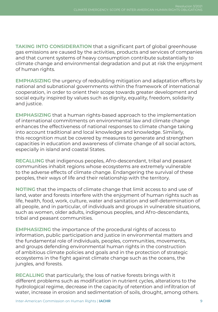**TAKING INTO CONSIDERATION** that a significant part of global greenhouse gas emissions are caused by the activities, products and services of companies and that current systems of heavy consumption contribute substantially to climate change and environmental degradation and put at risk the enjoyment of human rights.

**EMPHASIZING** the urgency of redoubling mitigation and adaptation efforts by national and subnational governments within the framework of international cooperation, in order to orient their scope towards greater development and social equity inspired by values such as dignity, equality, freedom, solidarity and justice.

**EMPHASIZING** that a human rights-based approach to the implementation of international commitments on environmental law and climate change enhances the effectiveness of national responses to climate change taking into account traditional and local knowledge and knowledge. Similarly, this recognition must be covered by measures to generate and strengthen capacities in education and awareness of climate change of all social actors, especially in island and coastal States.

**RECALLING** that indigenous peoples, Afro-descendant, tribal and peasant communities inhabit regions whose ecosystems are extremely vulnerable to the adverse effects of climate change. Endangering the survival of these peoples, their ways of life and their relationship with the territory.

**NOTING** that the impacts of climate change that limit access to and use of land, water and forests interfere with the enjoyment of human rights such as life, health, food, work, culture, water and sanitation and self-determination of all people, and in particular, of individuals and groups in vulnerable situations, such as women, older adults, indigenous peoples, and Afro-descendants, tribal and peasant communities.

**EMPHASIZING** the importance of the procedural rights of access to information, public participation and justice in environmental matters and the fundamental role of individuals, peoples, communities, movements, and groups defending environmental human rights in the construction of ambitious climate policies and goals and in the protection of strategic ecosystems in the fight against climate change such as the oceans, the jungles, and forests.

**RECALLING** that particularly, the loss of native forests brings with it different problems such as modification in nutrient cycles, alterations to the hydrological regime, decrease in the capacity of retention and infiltration of water, increase in erosion and sedimentation of soils, drought, among others.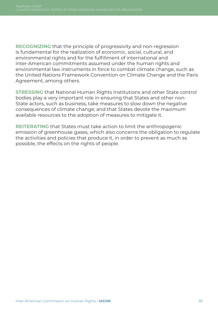**RECOGNIZING** that the principle of progressivity and non-regression is fundamental for the realization of economic, social, cultural, and environmental rights and for the fulfillment of international and inter-American commitments assumed under the human rights and environmental law instruments in force to combat climate change, such as the United Nations Framework Convention on Climate Change and the Paris Agreement, among others.

**STRESSING** that National Human Rights Institutions and other State control bodies play a very important role in ensuring that States and other non-State actors, such as business, take measures to slow down the negative consequences of climate change; and that States devote the maximum available resources to the adoption of measures to mitigate it.

**REITERATING** that States must take action to limit the anthropogenic emission of greenhouse gases, which also concerns the obligation to regulate the activities and policies that produce it, in order to prevent as much as possible, the effects on the rights of people.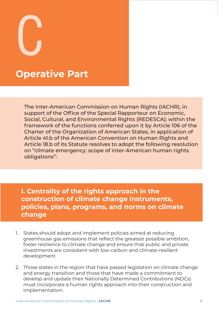C

## **Operative Part**

The Inter-American Commission on Human Rights (IACHR), in support of the Office of the Special Rapporteur on Economic, Social, Cultural, and Environmental Rights (REDESCA); within the framework of the functions conferred upon it by Article 106 of the Charter of the Organization of American States, in application of Article 41.b of the American Convention on Human Rights and Article 18.b of its Statute resolves to adopt the following resolution on "climate emergency: scope of inter-American human rights obligations":

CLIMATE EMERGENCY: SCOPE OF INTER-AMERICAN HUMAN RIGHTS OBLIGATIONS

**I. Centrality of the rights approach in the construction of climate change instruments, policies, plans, programs, and norms on climate change**

- 1. States should adopt and implement policies aimed at reducing greenhouse gas emissions that reflect the greatest possible ambition, foster resilience to climate change and ensure that public and private investments are consistent with low-carbon and climate-resilient development.
- 2. Those states in the region that have passed legislation on climate change and energy transition and those that have made a commitment to develop and update their Nationally Determined Contributions (NDCs) must incorporate a human rights approach into their construction and implementation.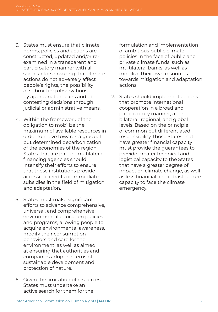- 3. States must ensure that climate norms, policies and actions are constructed, updated and/or reexamined in a transparent and participatory manner with all social actors ensuring that climate actions do not adversely affect people's rights, the possibility of submitting observations by appropriate means and of contesting decisions through judicial or administrative means.
- 4. Within the framework of the obligation to mobilize the maximum of available resources in order to move towards a gradual but determined decarbonization of the economies of the region, States that are part of multilateral financing agencies should intensify their efforts to ensure that these institutions provide accessible credits or immediate subsidies in the field of mitigation and adaptation.
- 5. States must make significant efforts to advance comprehensive, universal, and comprehensive environmental education policies and programs, allowing people to acquire environmental awareness, modify their consumption behaviors and care for the environment, as well as aimed at ensuring that authorities and companies adopt patterns of sustainable development and protection of nature.
- 6. Given the limitation of resources, States must undertake an active search for them for the

formulation and implementation of ambitious public climate policies in the face of public and private climate funds, such as multilateral banks, as well as mobilize their own resources towards mitigation and adaptation actions.

7. States should implement actions that promote international cooperation in a broad and participatory manner, at the bilateral, regional, and global levels. Based on the principle of common but differentiated responsibility, those States that have greater financial capacity must provide the guarantees to provide greater technical and logistical capacity to the States that have a greater degree of impact on climate change, as well as less financial and infrastructure capacity to face the climate emergency.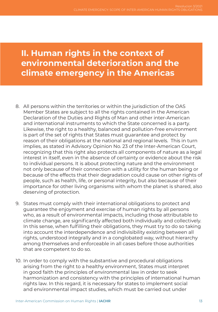### **II. Human rights in the context of environmental deterioration and the climate emergency in the Americas**

- 8. All persons within the territories or within the jurisdiction of the OAS Member States are subject to all the rights contained in the American Declaration of the Duties and Rights of Man and other inter-American and international instruments to which the State concerned is a party. Likewise, the right to a healthy, balanced and pollution-free environment is part of the set of rights that States must guarantee and protect by reason of their obligations at the national and regional levels. This in turn implies, as stated in Advisory Opinion No. 23 of the Inter-American Court, recognizing that this right also protects all components of nature as a legal interest in itself, even in the absence of certainty or evidence about the risk to individual persons. It is about protecting nature and the environment not only because of their connection with a utility for the human being or because of the effects that their degradation could cause on other rights of people, such as health, life, or personal integrity, but also because of their importance for other living organisms with whom the planet is shared, also deserving of protection.
- 9. States must comply with their international obligations to protect and guarantee the enjoyment and exercise of human rights by all persons who, as a result of environmental impacts, including those attributable to climate change, are significantly affected both individually and collectively. In this sense, when fulfilling their obligations, they must try to do so taking into account the interdependence and indivisibility existing between all rights, understood integrally and in a conglobated way, without hierarchy among themselves and enforceable in all cases before those authorities that are competent to do so.
- 10. In order to comply with the substantive and procedural obligations arising from the right to a healthy environment, States must interpret in good faith the principles of environmental law in order to seek harmonization and consistency with the principles of international human rights law. In this regard, it is necessary for states to implement social and environmental impact studies, which must be carried out under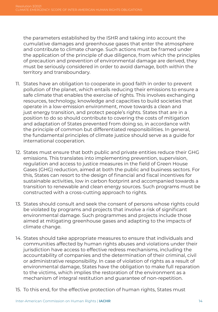the parameters established by the ISHR and taking into account the cumulative damages and greenhouse gases that enter the atmosphere and contribute to climate change. Such actions must be framed under the application of the principle of due diligence, from which the principles of precaution and prevention of environmental damage are derived, they must be seriously considered in order to avoid damage, both within the territory and transboundary.

- 11. States have an obligation to cooperate in good faith in order to prevent pollution of the planet, which entails reducing their emissions to ensure a safe climate that enables the exercise of rights. This involves exchanging resources, technology, knowledge and capacities to build societies that operate in a low-emission environment, move towards a clean and just energy transition, and protect people's rights. States that are in a position to do so should contribute to covering the costs of mitigation and adaptation of States prevented from doing so, in accordance with the principle of common but differentiated responsibilities. In general, the fundamental principles of climate justice should serve as a guide for international cooperation.
- 12. States must ensure that both public and private entities reduce their GHG emissions. This translates into implementing prevention, supervision, regulation and access to justice measures in the field of Green House Gases (GHG) reduction, aimed at both the public and business sectors. For this, States can resort to the design of financial and fiscal incentives for sustainable activities, low in carbon footprint and accompanied towards a transition to renewable and clean energy sources. Such programs must be constructed with a cross-cutting approach to rights.
- 13. States should consult and seek the consent of persons whose rights could be violated by programs and projects that involve a risk of significant environmental damage. Such programmes and projects include those aimed at mitigating greenhouse gases and adapting to the impacts of climate change.
- 14. States should take appropriate measures to ensure that individuals and communities affected by human rights abuses and violations under their jurisdiction have access to effective redress mechanisms, including the accountability of companies and the determination of their criminal, civil or administrative responsibility. In case of violation of rights as a result of environmental damage, States have the obligation to make full reparation to the victims, which implies the restoration of the environment as a mechanism of integral restitution and guarantee of non-repetition.
- 15. To this end, for the effective protection of human rights, States must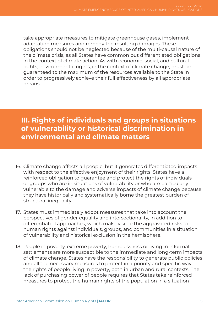take appropriate measures to mitigate greenhouse gases, implement adaptation measures and remedy the resulting damages. These obligations should not be neglected because of the multi-causal nature of the climate crisis, as all States have common but differentiated obligations in the context of climate action. As with economic, social, and cultural rights, environmental rights, in the context of climate change, must be guaranteed to the maximum of the resources available to the State in order to progressively achieve their full effectiveness by all appropriate means.

#### **III. Rights of individuals and groups in situations of vulnerability or historical discrimination in environmental and climate matters**

- 16. Climate change affects all people, but it generates differentiated impacts with respect to the effective enjoyment of their rights. States have a reinforced obligation to guarantee and protect the rights of individuals or groups who are in situations of vulnerability or who are particularly vulnerable to the damage and adverse impacts of climate change because they have historically and systematically borne the greatest burden of structural inequality.
- 17. States must immediately adopt measures that take into account the perspectives of gender equality and intersectionality, in addition to differentiated approaches, which make visible the aggravated risks to human rights against individuals, groups, and communities in a situation of vulnerability and historical exclusion in the hemisphere.
- 18. People in poverty, extreme poverty, homelessness or living in informal settlements are more susceptible to the immediate and long-term impacts of climate change. States have the responsibility to generate public policies and all the necessary measures to protect in a priority and specific way the rights of people living in poverty, both in urban and rural contexts. The lack of purchasing power of people requires that States take reinforced measures to protect the human rights of the population in a situation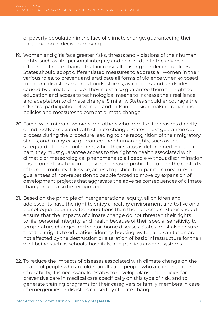of poverty population in the face of climate change, guaranteeing their participation in decision-making.

- 19. Women and girls face greater risks, threats and violations of their human rights, such as life, personal integrity and health, due to the adverse effects of climate change that increase all existing gender inequalities. States should adopt differentiated measures to address all women in their various roles, to prevent and eradicate all forms of violence when exposed to natural disasters, such as floods, storms, avalanches, and landslides, caused by climate change. They must also guarantee them the right to education and access to technological means to increase their resilience and adaptation to climate change. Similarly, States should encourage the effective participation of women and girls in decision-making regarding policies and measures to combat climate change.
- 20. Faced with migrant workers and others who mobilize for reasons directly or indirectly associated with climate change, States must guarantee due process during the procedure leading to the recognition of their migratory status, and in any case guarantee their human rights, such as the safeguard of non-refoulement while their status is determined. For their part, they must guarantee access to the right to health associated with climatic or meteorological phenomena to all people without discrimination based on national origin or any other reason prohibited under the contexts of human mobility. Likewise, access to justice, to reparation measures and guarantees of non-repetition to people forced to move by expansion of development projects that aggravate the adverse consequences of climate change must also be recognized.
- 21. Based on the principle of intergenerational equity, all children and adolescents have the right to enjoy a healthy environment and to live on a planet equal to or in better conditions than their ancestors. States should ensure that the impacts of climate change do not threaten their rights to life, personal integrity, and health because of their special sensitivity to temperature changes and vector-borne diseases. States must also ensure that their rights to education, identity, housing, water, and sanitation are not affected by the destruction or alteration of basic infrastructure for their well-being such as schools, hospitals, and public transport systems.
- 22. To reduce the impacts of diseases associated with climate change on the health of people who are older adults and people who are in a situation of disability, it is necessary for States to develop plans and policies for preventive care in medical care specifically on this type of risk, and to generate training programs for their caregivers or family members in case of emergencies or disasters caused by climate change.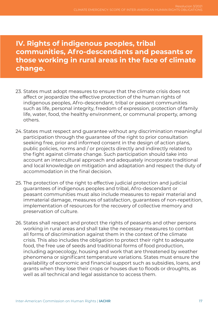**IV. Rights of indigenous peoples, tribal communities, Afro-descendants and peasants or those working in rural areas in the face of climate change.**

- 23. States must adopt measures to ensure that the climate crisis does not affect or jeopardize the effective protection of the human rights of indigenous peoples, Afro-descendant, tribal or peasant communities such as life, personal integrity, freedom of expression, protection of family life, water, food, the healthy environment, or communal property, among others.
- 24. States must respect and guarantee without any discrimination meaningful participation through the guarantee of the right to prior consultation seeking free, prior and informed consent in the design of action plans, public policies, norms and / or projects directly and indirectly related to the fight against climate change. Such participation should take into account an intercultural approach and adequately incorporate traditional and local knowledge on mitigation and adaptation and respect the duty of accommodation in the final decision.
- 25. The protection of the right to effective judicial protection and judicial guarantees of indigenous peoples and tribal, Afro-descendant or peasant communities must also include measures to repair material and immaterial damage, measures of satisfaction, guarantees of non-repetition, implementation of resources for the recovery of collective memory and preservation of culture.
- 26. States shall respect and protect the rights of peasants and other persons working in rural areas and shall take the necessary measures to combat all forms of discrimination against them in the context of the climate crisis. This also includes the obligation to protect their right to adequate food, the free use of seeds and traditional forms of food production, including agroecology, housing and work that are threatened by weather phenomena or significant temperature variations. States must ensure the availability of economic and financial support such as subsidies, loans, and grants when they lose their crops or houses due to floods or droughts, as well as all technical and legal assistance to access them.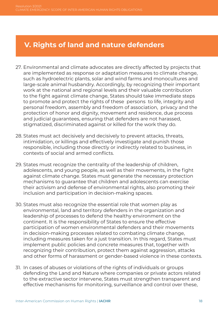#### **V. Rights of land and nature defenders**

- 27. Environmental and climate advocates are directly affected by projects that are implemented as response or adaptation measures to climate change, such as hydroelectric plants, solar and wind farms and monocultures and large-scale animal husbandry. Accordingly, by recognizing their important work at the national and regional levels and their valuable contribution to the fight against climate change, States should take immediate steps to promote and protect the rights of these persons to life, integrity and personal freedom, assembly and freedom of association, privacy and the protection of honor and dignity, movement and residence, due process and judicial guarantees, ensuring that defenders are not harassed, stigmatized, discriminated against or killed for the work they do.
- 28. States must act decisively and decisively to prevent attacks, threats, intimidation, or killings and effectively investigate and punish those responsible, including those directly or indirectly related to business, in contexts of social and armed conflicts.
- 29. States must recognize the centrality of the leadership of children, adolescents, and young people, as well as their movements, in the fight against climate change. States must generate the necessary protection mechanisms to guarantee that children and adolescents can exercise their activism and defense of environmental rights, also promoting their inclusion and participation in decision-making spaces.
- 30. States must also recognize the essential role that women play as environmental, land and territory defenders in the organization and leadership of processes to defend the healthy environment on the continent. It is the responsibility of States to ensure the effective participation of women environmental defenders and their movements in decision-making processes related to combating climate change, including measures taken for a just transition. In this regard, States must implement public policies and concrete measures that, together with recognizing their contribution, protect them against aggression, attacks and other forms of harassment or gender-based violence in these contexts.
- 31. In cases of abuses or violations of the rights of individuals or groups defending the Land and Nature where companies or private actors related to the extractive sector intervene, States must strengthen transparent and effective mechanisms for monitoring, surveillance and control over these,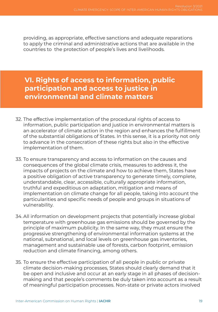providing, as appropriate, effective sanctions and adequate reparations to apply the criminal and administrative actions that are available in the countries to the protection of people's lives and livelihoods.

#### **VI. Rights of access to information, public participation and access to justice in environmental and climate matters**

- 32. The effective implementation of the procedural rights of access to information, public participation and justice in environmental matters is an accelerator of climate action in the region and enhances the fulfillment of the substantial obligations of States. In this sense, it is a priority not only to advance in the consecration of these rights but also in the effective implementation of them.
- 33. To ensure transparency and access to information on the causes and consequences of the global climate crisis, measures to address it, the impacts of projects on the climate and how to achieve them, States have a positive obligation of active transparency to generate timely, complete, understandable, clear, accessible, culturally appropriate information, truthful and expeditious on adaptation, mitigation and means of implementation on climate change for all people, taking into account the particularities and specific needs of people and groups in situations of vulnerability.
- 34. All information on development projects that potentially increase global temperature with greenhouse gas emissions should be governed by the principle of maximum publicity. In the same way, they must ensure the progressive strengthening of environmental information systems at the national, subnational, and local levels on greenhouse gas inventories, management and sustainable use of forests, carbon footprint, emission reduction and climate financing, among others.
- 35. To ensure the effective participation of all people in public or private climate decision-making processes, States should clearly demand that it be open and inclusive and occur at an early stage in all phases of decisionmaking and that people's comments be duly taken into account as a result of meaningful participation processes. Non-state or private actors involved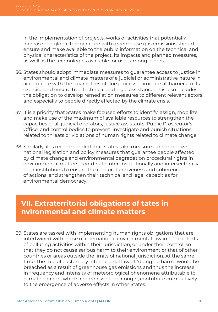in the implementation of projects, works or activities that potentially increase the global temperature with greenhouse gas emissions should ensure and make available to the public information on the technical and physical characteristics of the project, its impacts and planned measures, as well as the technologies available for use, among others.

- 36. States should adopt immediate measures to guarantee access to justice in environmental and climate matters of a judicial or administrative nature in accordance with the guarantees of due process, eliminate all barriers to its exercise and ensure free technical and legal assistance. This also includes the obligation to develop remediation measures to different relevant actors and especially to people directly affected by the climate crisis.
- 37. It is a priority that States make focused efforts to identify, assign, mobilize and make use of the maximum of available resources to strengthen the capacities of all judicial operators, justice assistants, Public Prosecutor's Office, and control bodies to prevent, investigate and punish situations related to threats or violations of human rights related to climate change.
- 38. Similarly, it is recommended that States take measures to harmonize national legislation and policy measures that guarantee people affected by climate change and environmental degradation procedural rights in environmental matters; coordinate inter-institutionally and intersectorally their institutions to ensure the comprehensiveness and coherence of actions; and strengthen their technical and legal capacities for environmental democracy.

#### **VII. Extraterritorial obligations of tates in nvironmental and climate matters**

39. States are tasked with implementing human rights obligations that are intertwined with those of international environmental law in the contexts of polluting activities within their jurisdiction, or under their control, so that they do not cause serious harm to their environment or that of other countries or areas outside the limits of national jurisdiction. At the same time, the rule of customary international law of "doing no harm" would be breached as a result of greenhouse gas emissions and thus the increase in frequency and intensity of meteorological phenomena attributable to climate change, which, regardless of their origin, contribute cumulatively to the emergence of adverse effects in other States.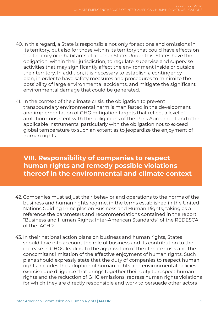- 40.In this regard, a State is responsible not only for actions and omissions in its territory, but also for those within its territory that could have effects on the territory or inhabitants of another State. Under this, States have the obligation, within their jurisdiction, to regulate, supervise and supervise activities that may significantly affect the environment inside or outside their territory. In addition, it is necessary to establish a contingency plan, in order to have safety measures and procedures to minimize the possibility of large environmental accidents, and mitigate the significant environmental damage that could be generated.
- 41. In the context of the climate crisis, the obligation to prevent transboundary environmental harm is manifested in the development and implementation of GHG mitigation targets that reflect a level of ambition consistent with the obligations of the Paris Agreement and other applicable instruments, particularly with the obligation not to exceed global temperature to such an extent as to jeopardize the enjoyment of human rights.

#### **VIII. Responsibility of companies to respect human rights and remedy possible violations thereof in the environmental and climate context**

- 42. Companies must adjust their behavior and operations to the norms of the business and human rights regime, in the terms established in the United Nations Guiding Principles on Business and Human Rights, taking as a reference the parameters and recommendations contained in the report "Business and Human Rights: Inter-American Standards" of the REDESCA of the IACHR.
- 43. In their national action plans on business and human rights, States should take into account the role of business and its contribution to the increase in GHGs, leading to the aggravation of the climate crisis and the concomitant limitation of the effective enjoyment of human rights. Such plans should expressly state that the duty of companies to respect human rights includes the adoption of human rights and environmental policies; exercise due diligence that brings together their duty to respect human rights and the reduction of GHG emissions; redress human rights violations for which they are directly responsible and work to persuade other actors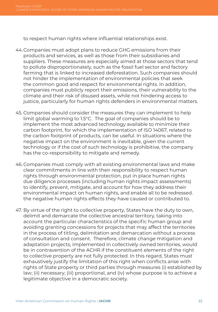to respect human rights where influential relationships exist.

- 44.Companies must adopt plans to reduce GHG emissions from their products and services, as well as those from their subsidiaries and suppliers. These measures are especially aimed at those sectors that tend to pollute disproportionately, such as the fossil fuel sector and factory farming that is linked to increased deforestation. Such companies should not hinder the implementation of environmental policies that seek the common good and respect for environmental rights. In addition, companies must publicly report their emissions, their vulnerability to the climate and their risk of disused assets, while not hindering access to justice, particularly for human rights defenders in environmental matters.
- 45. Companies should consider the measures they can implement to help limit global warming to 1.5°C. The goal of companies should be to implement the most advanced technology available to minimize their carbon footprint, for which the implementation of ISO 14067, related to the carbon footprint of products, can be useful. In situations where the negative impact on the environment is inevitable, given the current technology or if the cost of such technology is prohibitive, the company has the co-responsibility to mitigate and remedy.
- 46. Companies must comply with all existing environmental laws and make clear commitments in line with their responsibility to respect human rights through environmental protection, put in place human rights due diligence processes (including human rights impact assessments) to identify, prevent, mitigate, and account for how they address their environmental impact on human rights, and enable all to be redressed. the negative human rights effects they have caused or contributed to.
- 47. By virtue of the right to collective property, States have the duty to own, delimit and demarcate the collective ancestral territory, taking into account the particular characteristics of the specific human group and avoiding granting concessions for projects that may affect the territories in the process of titling, delimitation and demarcation without a process of consultation and consent. Therefore, climate change mitigation and adaptation projects, implemented in collectively owned territories, would be in contravention of the ACHR if the constituent elements of the right to collective property are not fully protected. In this regard, States must exhaustively justify the limitation of this right when conflicts arise with rights of State property or third parties through measures (i) established by law; (ii) necessary; (iii) proportional, and (iv) whose purpose is to achieve a legitimate objective in a democratic society.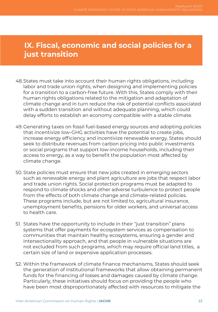#### **IX. Fiscal, economic and social policies for a just transition**

- 48.States must take into account their human rights obligations, including labor and trade union rights, when designing and implementing policies for a transition to a carbon-free future. With this, States comply with their human rights obligations related to the mitigation and adaptation of climate change and in turn reduce the risk of potential conflicts associated with a sudden transition and without adequate planning, which could delay efforts to establish an economy compatible with a stable climate.
- 49. Generating taxes on fossil fuel-based energy sources and adopting policies that incentivize low-GHG activities have the potential to create jobs, increase energy efficiency and incentivize renewable energy. States should seek to distribute revenues from carbon pricing into public investments or social programs that support low-income households, including their access to energy, as a way to benefit the population most affected by climate change.
- 50. State policies must ensure that new jobs created in emerging sectors such as renewable energy and plant agriculture are jobs that respect labor and trade union rights. Social protection programs must be adapted to respond to climate shocks and other adverse turbulence to protect people from the effects of both climate change and climate-related policies. These programs include, but are not limited to, agricultural insurance, unemployment benefits, pensions for older workers, and universal access to health care.
- 51. States have the opportunity to include in their "just transition" plans systems that offer payments for ecosystem services as compensation to communities that maintain healthy ecosystems, ensuring a gender and intersectionality approach, and that people in vulnerable situations are not excluded from such programs, which may require official land titles, a certain size of land or expensive application processes.
- 52. Within the framework of climate finance mechanisms, States should seek the generation of institutional frameworks that allow obtaining permanent funds for the financing of losses and damages caused by climate change. Particularly, these initiatives should focus on providing the people who have been most disproportionately affected with resources to mitigate the